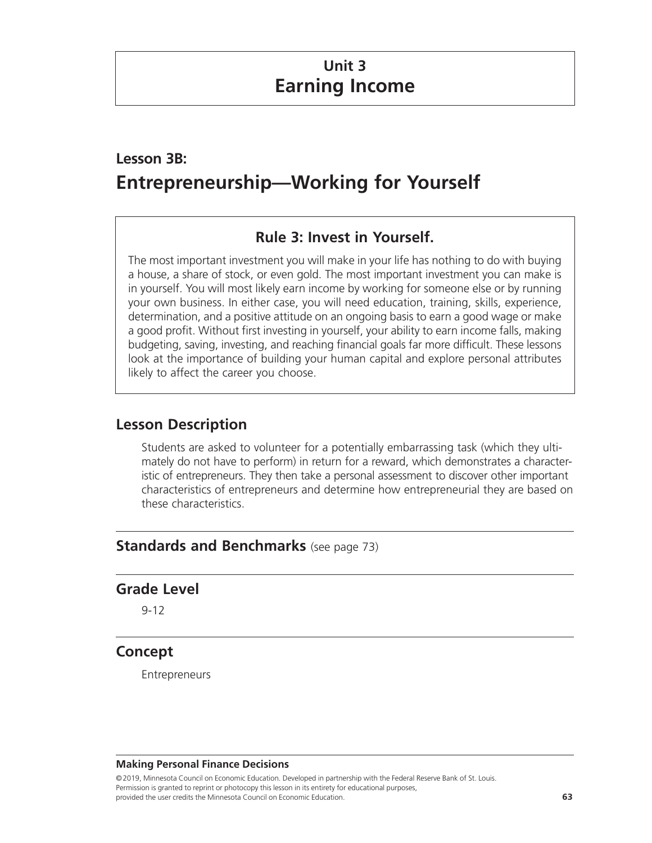# **Unit 3 Earning Income**

# **Lesson 3B: Entrepreneurship—Working for Yourself**

# **Rule 3: Invest in Yourself.**

The most important investment you will make in your life has nothing to do with buying a house, a share of stock, or even gold. The most important investment you can make is in yourself. You will most likely earn income by working for someone else or by running your own business. In either case, you will need education, training, skills, experience, determination, and a positive attitude on an ongoing basis to earn a good wage or make a good profit. Without first investing in yourself, your ability to earn income falls, making budgeting, saving, investing, and reaching financial goals far more difficult. These lessons look at the importance of building your human capital and explore personal attributes likely to affect the career you choose.

## **Lesson Description**

Students are asked to volunteer for a potentially embarrassing task (which they ultimately do not have to perform) in return for a reward, which demonstrates a characteristic of entrepreneurs. They then take a personal assessment to discover other important characteristics of entrepreneurs and determine how entrepreneurial they are based on these characteristics.

## **Standards and Benchmarks** (see page 73)

### **Grade Level**

9-12

### **Concept**

Entrepreneurs

#### **Making Personal Finance Decisions**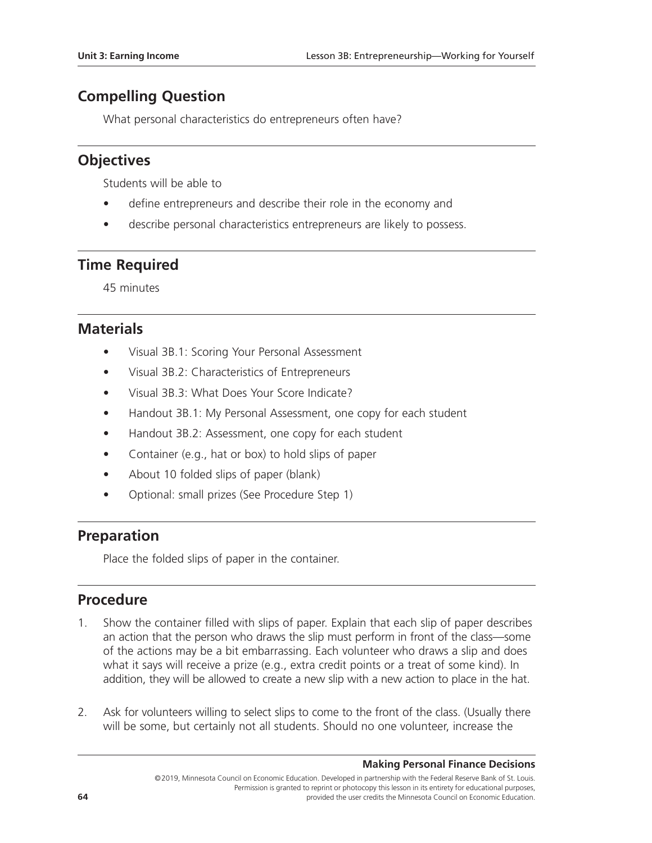# **Compelling Question**

What personal characteristics do entrepreneurs often have?

# **Objectives**

Students will be able to

- define entrepreneurs and describe their role in the economy and
- describe personal characteristics entrepreneurs are likely to possess.

# **Time Required**

45 minutes

## **Materials**

- Visual 3B.1: Scoring Your Personal Assessment
- Visual 3B.2: Characteristics of Entrepreneurs
- Visual 3B.3: What Does Your Score Indicate?
- Handout 3B.1: My Personal Assessment, one copy for each student
- Handout 3B.2: Assessment, one copy for each student
- Container (e.g., hat or box) to hold slips of paper
- About 10 folded slips of paper (blank)
- Optional: small prizes (See Procedure Step 1)

## **Preparation**

Place the folded slips of paper in the container.

## **Procedure**

- 1. Show the container filled with slips of paper. Explain that each slip of paper describes an action that the person who draws the slip must perform in front of the class—some of the actions may be a bit embarrassing. Each volunteer who draws a slip and does what it says will receive a prize (e.g., extra credit points or a treat of some kind). In addition, they will be allowed to create a new slip with a new action to place in the hat.
- 2. Ask for volunteers willing to select slips to come to the front of the class. (Usually there will be some, but certainly not all students. Should no one volunteer, increase the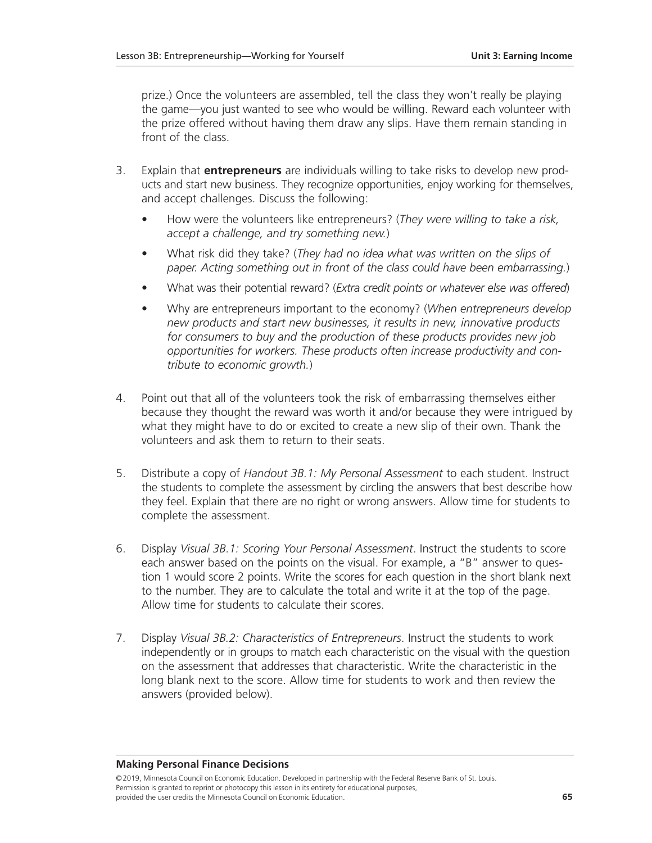prize.) Once the volunteers are assembled, tell the class they won't really be playing the game—you just wanted to see who would be willing. Reward each volunteer with the prize offered without having them draw any slips. Have them remain standing in front of the class.

- 3. Explain that **entrepreneurs** are individuals willing to take risks to develop new products and start new business. They recognize opportunities, enjoy working for themselves, and accept challenges. Discuss the following:
	- How were the volunteers like entrepreneurs? (*They were willing to take a risk, accept a challenge, and try something new.*)
	- What risk did they take? (*They had no idea what was written on the slips of paper. Acting something out in front of the class could have been embarrassing.*)
	- What was their potential reward? (*Extra credit points or whatever else was offered*)
	- Why are entrepreneurs important to the economy? (*When entrepreneurs develop new products and start new businesses, it results in new, innovative products for consumers to buy and the production of these products provides new job opportunities for workers. These products often increase productivity and contribute to economic growth.*)
- 4. Point out that all of the volunteers took the risk of embarrassing themselves either because they thought the reward was worth it and/or because they were intrigued by what they might have to do or excited to create a new slip of their own. Thank the volunteers and ask them to return to their seats.
- 5. Distribute a copy of *Handout 3B.1: My Personal Assessment* to each student. Instruct the students to complete the assessment by circling the answers that best describe how they feel. Explain that there are no right or wrong answers. Allow time for students to complete the assessment.
- 6. Display *Visual 3B.1: Scoring Your Personal Assessment*. Instruct the students to score each answer based on the points on the visual. For example, a "B" answer to question 1 would score 2 points. Write the scores for each question in the short blank next to the number. They are to calculate the total and write it at the top of the page. Allow time for students to calculate their scores.
- 7. Display *Visual 3B.2: Characteristics of Entrepreneurs*. Instruct the students to work independently or in groups to match each characteristic on the visual with the question on the assessment that addresses that characteristic. Write the characteristic in the long blank next to the score. Allow time for students to work and then review the answers (provided below).

#### **Making Personal Finance Decisions**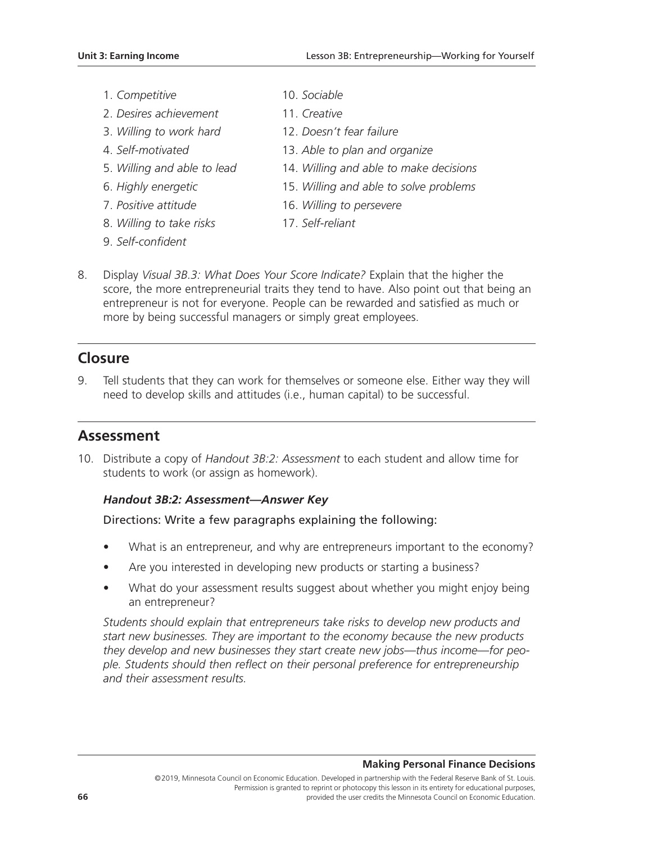- 1. *Competitive* 10. *Sociable*
- 2. *Desires achievement* 11. *Creative*
- 
- 
- 
- 
- 
- 8. *Willing to take risks* 17. *Self-reliant*
- 9. *Self-confident*
- 
- 
- 3. *Willing to work hard* 12. *Doesn't fear failure*
- 4. *Self-motivated* 13. *Able to plan and organize*
- 5. *Willing and able to lead* 14. *Willing and able to make decisions*
- 6. *Highly energetic* 15. *Willing and able to solve problems*
- 7. *Positive attitude* 16. *Willing to persevere*
	-
- 8. Display *Visual 3B.3: What Does Your Score Indicate?* Explain that the higher the score, the more entrepreneurial traits they tend to have. Also point out that being an entrepreneur is not for everyone. People can be rewarded and satisfied as much or more by being successful managers or simply great employees.

# **Closure**

9. Tell students that they can work for themselves or someone else. Either way they will need to develop skills and attitudes (i.e., human capital) to be successful.

## **Assessment**

10. Distribute a copy of *Handout 3B:2: Assessment* to each student and allow time for students to work (or assign as homework).

### *Handout 3B:2: Assessment—Answer Key*

### Directions: Write a few paragraphs explaining the following:

- What is an entrepreneur, and why are entrepreneurs important to the economy?
- Are you interested in developing new products or starting a business?
- What do your assessment results suggest about whether you might enjoy being an entrepreneur?

*Students should explain that entrepreneurs take risks to develop new products and start new businesses. They are important to the economy because the new products they develop and new businesses they start create new jobs—thus income—for people. Students should then reflect on their personal preference for entrepreneurship and their assessment results.*

#### **Making Personal Finance Decisions**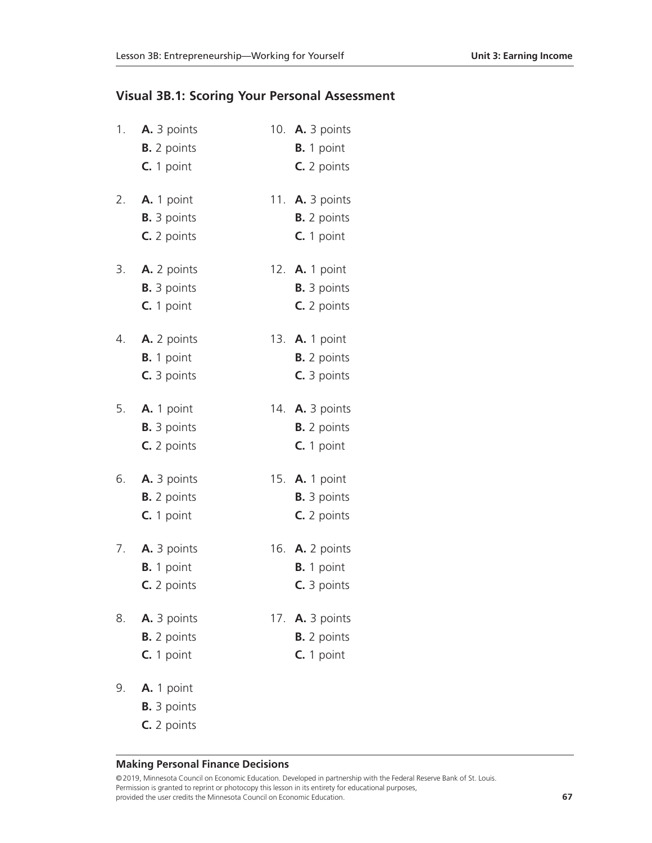### **Visual 3B.1: Scoring Your Personal Assessment**

| 1. | A. 3 points<br><b>B.</b> 2 points<br>C. 1 point        | 10. A. 3 points<br><b>B.</b> 1 point<br>C. 2 points          |
|----|--------------------------------------------------------|--------------------------------------------------------------|
| 2. | A. 1 point<br><b>B.</b> 3 points<br>C. 2 points        | 11. <b>A.</b> 3 points<br><b>B.</b> 2 points<br>$C. 1$ point |
| 3. | A. 2 points<br><b>B.</b> 3 points<br>C. 1 point        | 12. <b>A.</b> 1 point<br><b>B.</b> 3 points<br>C. 2 points   |
| 4. | A. 2 points<br><b>B.</b> 1 point<br>C. 3 points        | 13. A. 1 point<br><b>B.</b> 2 points<br>C. 3 points          |
| 5. | A. 1 point<br><b>B.</b> 3 points<br>C. 2 points        | 14. <b>A.</b> 3 points<br><b>B.</b> 2 points<br>C. 1 point   |
| 6. | A. 3 points<br><b>B.</b> 2 points<br>$C. 1$ point      | 15. A. 1 point<br><b>B.</b> 3 points<br>C. 2 points          |
| 7. | A. 3 points<br>B. 1 point<br>C. 2 points               | 16. <b>A.</b> 2 points<br><b>B.</b> 1 point<br>C. 3 points   |
| 8. | <b>A.</b> 3 points<br><b>B.</b> 2 points<br>C. 1 point | 17. A. 3 points<br><b>B.</b> 2 points<br>$C. 1$ point        |
| 9. | A. 1 point                                             |                                                              |

- - **B.** 3 points
	- **C.** 2 points

#### **Making Personal Finance Decisions**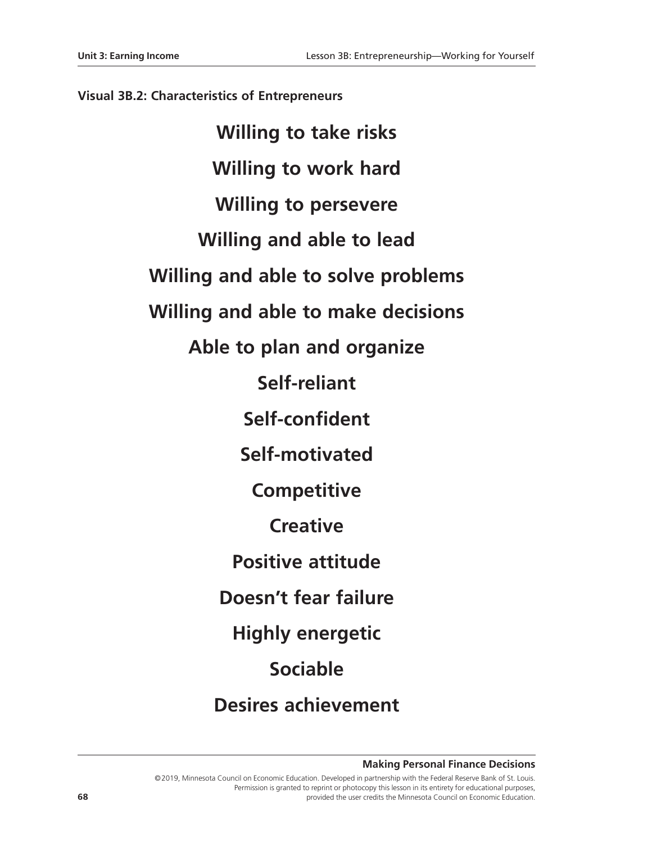#### **Visual 3B.2: Characteristics of Entrepreneurs**

**Willing to take risks Willing to work hard Willing to persevere Willing and able to lead Willing and able to solve problems Willing and able to make decisions Able to plan and organize Self-reliant Self-confident Self-motivated Competitive Creative Positive attitude Doesn't fear failure Highly energetic Sociable Desires achievement**

**Making Personal Finance Decisions**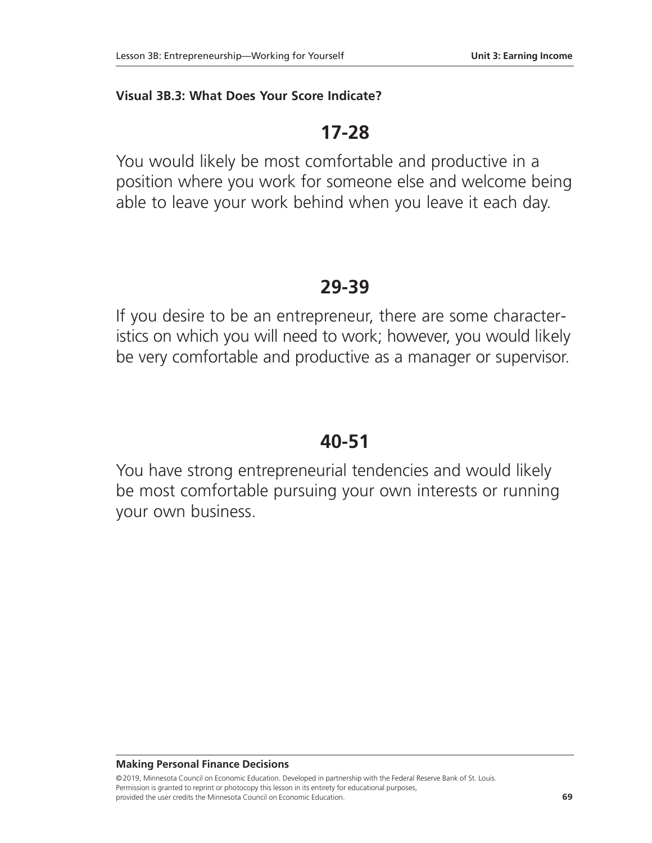#### **Visual 3B.3: What Does Your Score Indicate?**

# **17-28**

You would likely be most comfortable and productive in a position where you work for someone else and welcome being able to leave your work behind when you leave it each day.

# **29-39**

If you desire to be an entrepreneur, there are some characteristics on which you will need to work; however, you would likely be very comfortable and productive as a manager or supervisor.

# **40-51**

You have strong entrepreneurial tendencies and would likely be most comfortable pursuing your own interests or running your own business.

**Making Personal Finance Decisions**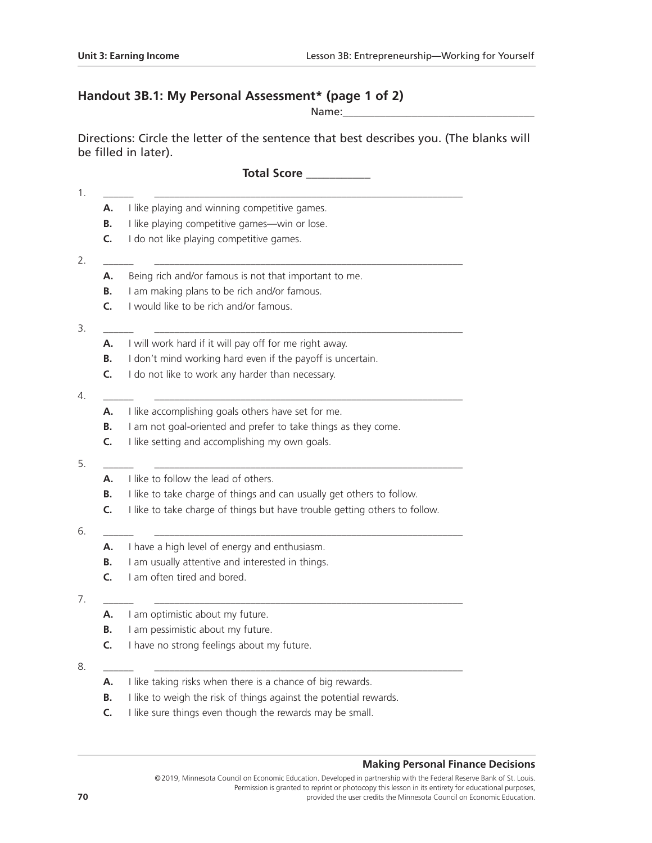# **Handout 3B.1: My Personal Assessment\* (page 1 of 2)**

Name:\_\_\_\_\_\_\_\_\_\_\_\_\_\_\_\_\_\_\_\_\_\_\_\_\_\_\_\_\_\_\_\_\_\_\_\_

Directions: Circle the letter of the sentence that best describes you. (The blanks will be filled in later).

**Total Score \_\_\_\_\_\_\_\_\_\_\_**

| А. | I like playing and winning competitive games.                              |  |  |  |  |
|----|----------------------------------------------------------------------------|--|--|--|--|
| В. | I like playing competitive games-win or lose.                              |  |  |  |  |
| C. | I do not like playing competitive games.                                   |  |  |  |  |
|    |                                                                            |  |  |  |  |
| А. | Being rich and/or famous is not that important to me.                      |  |  |  |  |
| В. | I am making plans to be rich and/or famous.                                |  |  |  |  |
| C. | I would like to be rich and/or famous.                                     |  |  |  |  |
| А. | I will work hard if it will pay off for me right away.                     |  |  |  |  |
| В. | I don't mind working hard even if the payoff is uncertain.                 |  |  |  |  |
| C. | I do not like to work any harder than necessary.                           |  |  |  |  |
| А. | I like accomplishing goals others have set for me.                         |  |  |  |  |
| В. | I am not goal-oriented and prefer to take things as they come.             |  |  |  |  |
| C. | I like setting and accomplishing my own goals.                             |  |  |  |  |
|    |                                                                            |  |  |  |  |
| А. | I like to follow the lead of others.                                       |  |  |  |  |
| В. | I like to take charge of things and can usually get others to follow.      |  |  |  |  |
| C. | I like to take charge of things but have trouble getting others to follow. |  |  |  |  |
| А. | I have a high level of energy and enthusiasm.                              |  |  |  |  |
| B. | I am usually attentive and interested in things.                           |  |  |  |  |
| C. | I am often tired and bored.                                                |  |  |  |  |
|    |                                                                            |  |  |  |  |
| А. | I am optimistic about my future.                                           |  |  |  |  |
| В. | I am pessimistic about my future.                                          |  |  |  |  |
| C. | I have no strong feelings about my future.                                 |  |  |  |  |
| А. | I like taking risks when there is a chance of big rewards.                 |  |  |  |  |
| В. | I like to weigh the risk of things against the potential rewards.          |  |  |  |  |
|    |                                                                            |  |  |  |  |

**C.** I like sure things even though the rewards may be small.

#### **Making Personal Finance Decisions**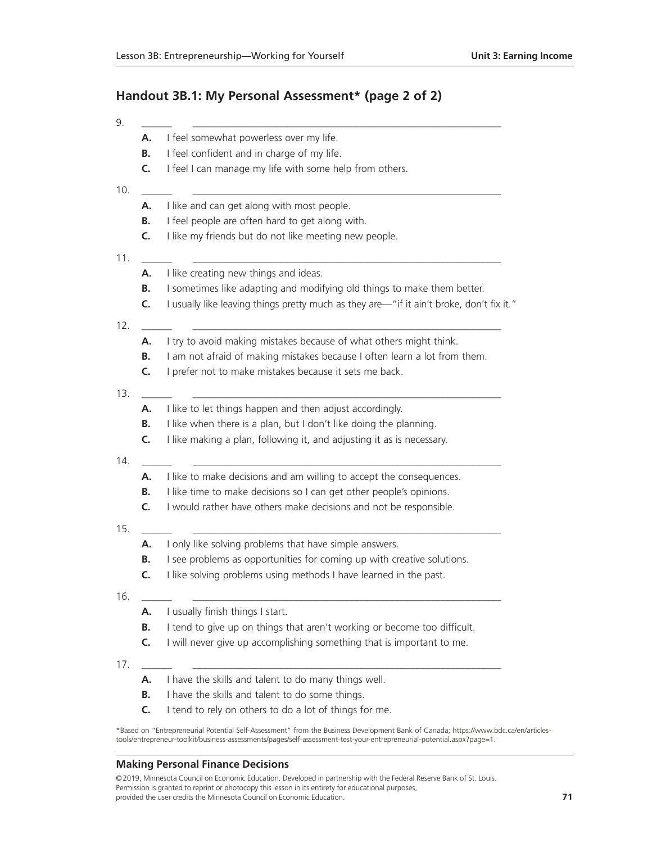### **Handout 3B.1: My Personal Assessment\* (page 2 of 2)**

| 9.        |                                                                                          |  |  |  |  |
|-----------|------------------------------------------------------------------------------------------|--|--|--|--|
| А.        | I feel somewhat powerless over my life.<br>I feel confident and in charge of my life.    |  |  |  |  |
| В.        |                                                                                          |  |  |  |  |
| C.        | I feel I can manage my life with some help from others.                                  |  |  |  |  |
| 10.<br>А. | I like and can get along with most people.                                               |  |  |  |  |
| В.        | I feel people are often hard to get along with.                                          |  |  |  |  |
| C.        | I like my friends but do not like meeting new people.                                    |  |  |  |  |
| 11.<br>Α. | I like creating new things and ideas.                                                    |  |  |  |  |
| В.        | I sometimes like adapting and modifying old things to make them better.                  |  |  |  |  |
| C.        | I usually like leaving things pretty much as they are—"if it ain't broke, don't fix it." |  |  |  |  |
| 12.       |                                                                                          |  |  |  |  |
| А.        | I try to avoid making mistakes because of what others might think.                       |  |  |  |  |
| В.<br>C.  | I am not afraid of making mistakes because I often learn a lot from them.                |  |  |  |  |
| 13.       | I prefer not to make mistakes because it sets me back.                                   |  |  |  |  |
| А.        | I like to let things happen and then adjust accordingly.                                 |  |  |  |  |
| В.        | I like when there is a plan, but I don't like doing the planning.                        |  |  |  |  |
| C.        | I like making a plan, following it, and adjusting it as is necessary.                    |  |  |  |  |
| 14.<br>А. | I like to make decisions and am willing to accept the consequences.                      |  |  |  |  |
| В.        | I like time to make decisions so I can get other people's opinions.                      |  |  |  |  |
| C.        | I would rather have others make decisions and not be responsible.                        |  |  |  |  |
| 15.       |                                                                                          |  |  |  |  |
| А.        | I only like solving problems that have simple answers.                                   |  |  |  |  |
| В.        | I see problems as opportunities for coming up with creative solutions.                   |  |  |  |  |
| C.        | I like solving problems using methods I have learned in the past.                        |  |  |  |  |
| 16.<br>А. | I usually finish things I start.                                                         |  |  |  |  |
| В.        | I tend to give up on things that aren't working or become too difficult.                 |  |  |  |  |
| C.        | I will never give up accomplishing something that is important to me.                    |  |  |  |  |
| 17.<br>А. | I have the skills and talent to do many things well.                                     |  |  |  |  |
| В.        | I have the skills and talent to do some things.                                          |  |  |  |  |
| C.        | I tend to rely on others to do a lot of things for me.                                   |  |  |  |  |
|           |                                                                                          |  |  |  |  |

\*Based on "Entrepreneurial Potential Self-Assessment" from the Business Development Bank of Canada; https://www.bdc.ca/en/articlestools/entrepreneur-toolkit/business-assessments/pages/self-assessment-test-your-entrepreneurial-potential.aspx?page=1.

#### **Making Personal Finance Decisions**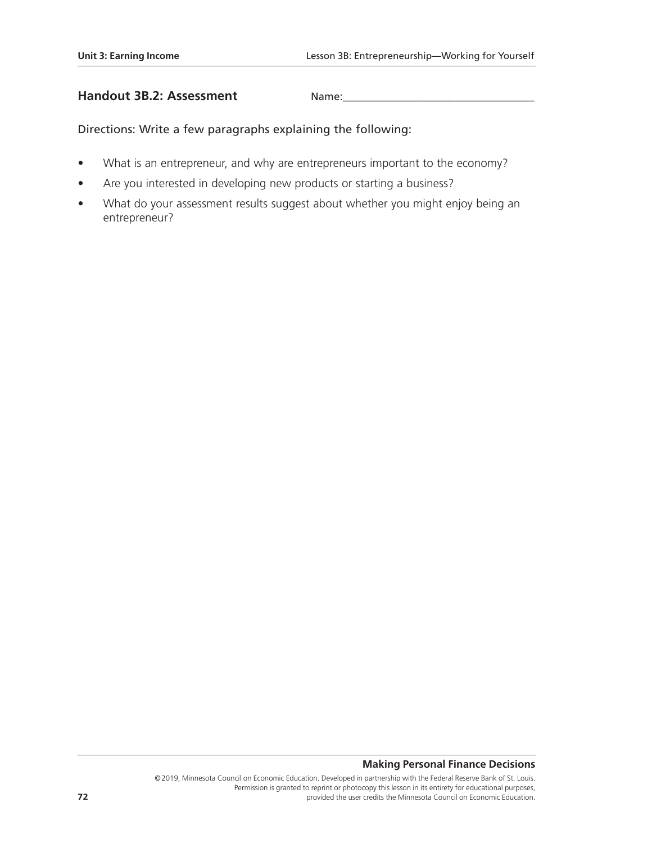#### **Handout 3B.2: Assessment** Nam

| ie: |  |  |  |
|-----|--|--|--|

Directions: Write a few paragraphs explaining the following:

- What is an entrepreneur, and why are entrepreneurs important to the economy?
- Are you interested in developing new products or starting a business?
- What do your assessment results suggest about whether you might enjoy being an entrepreneur?

#### **Making Personal Finance Decisions**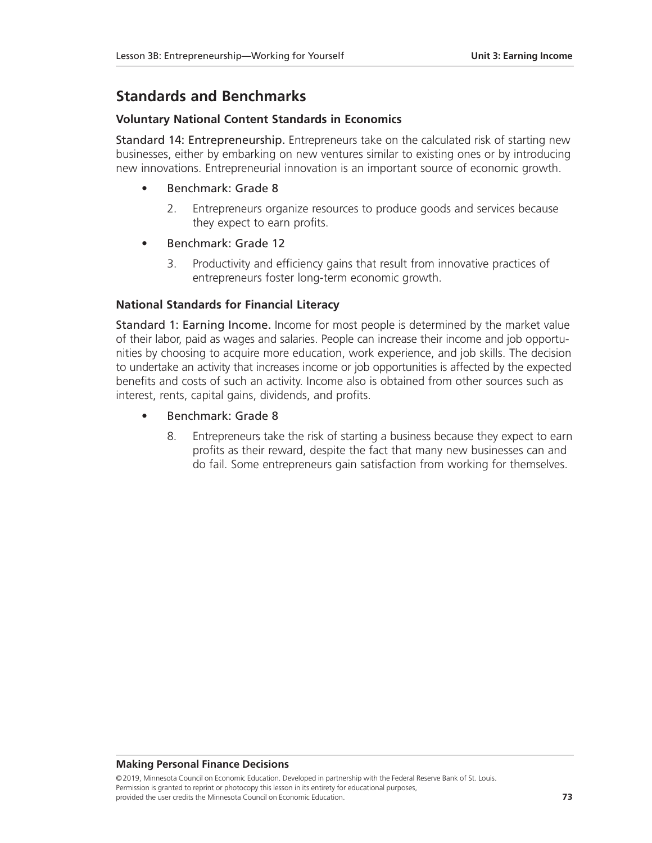# **Standards and Benchmarks**

#### **Voluntary National Content Standards in Economics**

Standard 14: Entrepreneurship. Entrepreneurs take on the calculated risk of starting new businesses, either by embarking on new ventures similar to existing ones or by introducing new innovations. Entrepreneurial innovation is an important source of economic growth.

- Benchmark: Grade 8
	- 2. Entrepreneurs organize resources to produce goods and services because they expect to earn profits.
- Benchmark: Grade 12
	- 3. Productivity and efficiency gains that result from innovative practices of entrepreneurs foster long-term economic growth.

#### **National Standards for Financial Literacy**

Standard 1: Earning Income. Income for most people is determined by the market value of their labor, paid as wages and salaries. People can increase their income and job opportunities by choosing to acquire more education, work experience, and job skills. The decision to undertake an activity that increases income or job opportunities is affected by the expected benefits and costs of such an activity. Income also is obtained from other sources such as interest, rents, capital gains, dividends, and profits.

- Benchmark: Grade 8
	- 8. Entrepreneurs take the risk of starting a business because they expect to earn profits as their reward, despite the fact that many new businesses can and do fail. Some entrepreneurs gain satisfaction from working for themselves.

#### **Making Personal Finance Decisions**